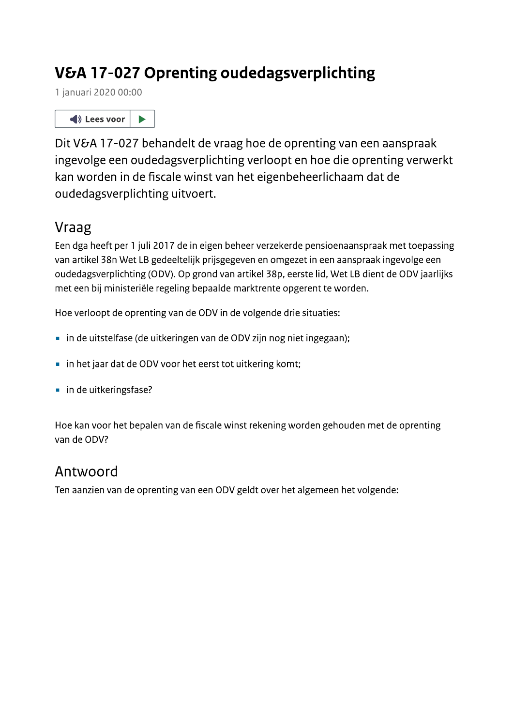# V&A 17-027 Oprenting oudedagsverplichting

1 januari 2020 00:00



Dit V&A 17-027 behandelt de vraag hoe de oprenting van een aanspraak ingevolge een oudedagsverplichting verloopt en hoe die oprenting verwerkt kan worden in de fiscale winst van het eigenbeheerlichaam dat de oudedagsverplichting uitvoert.

# Vraag

Een dga heeft per 1 juli 2017 de in eigen beheer verzekerde pensioenaanspraak met toepassing van artikel 38n Wet LB gedeeltelijk prijsgegeven en omgezet in een aanspraak ingevolge een oudedagsverplichting (ODV). Op grond van artikel 38p, eerste lid, Wet LB dient de ODV jaarlijks met een bij ministeriële regeling bepaalde marktrente opgerent te worden.

Hoe verloopt de oprenting van de ODV in de volgende drie situaties:

- · in de uitstelfase (de uitkeringen van de ODV zijn nog niet ingegaan);
- in het jaar dat de ODV voor het eerst tot uitkering komt;
- in de uitkeringsfase?

Hoe kan voor het bepalen van de fiscale winst rekening worden gehouden met de oprenting van de ODV?

# Antwoord

Ten aanzien van de oprenting van een ODV geldt over het algemeen het volgende: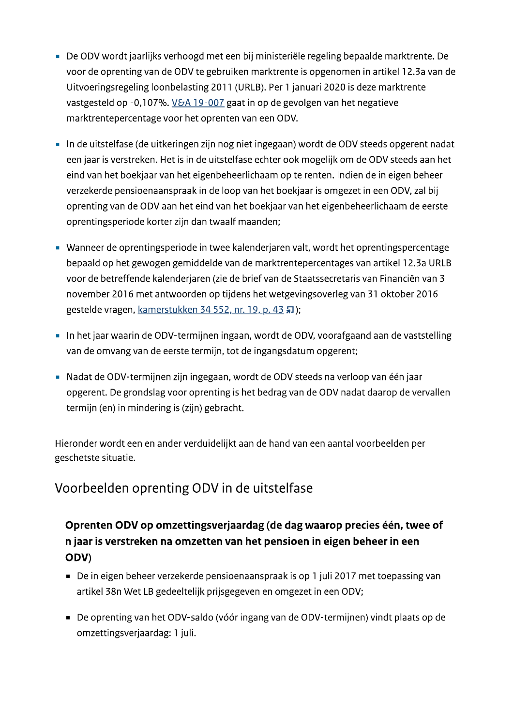- De ODV wordt jaarlijks verhoogd met een bij ministeriële regeling bepaalde marktrente. De voor de oprenting van de ODV te gebruiken marktrente is opgenomen in artikel 12.3a van de Uitvoeringsregeling loonbelasting 2011 (URLB). Per 1 januari 2020 is deze marktrente vastgesteld op -0,107%. V&A 19-007 gaat in op de gevolgen van het negatieve marktrentepercentage voor het oprenten van een ODV.
- In de uitstelfase (de uitkeringen zijn nog niet ingegaan) wordt de ODV steeds opgerent nadat een jaar is verstreken. Het is in de uitstelfase echter ook mogelijk om de ODV steeds aan het eind van het boekjaar van het eigenbeheerlichaam op te renten. Indien de in eigen beheer verzekerde pensioenaanspraak in de loop van het boekjaar is omgezet in een ODV, zal bij oprenting van de ODV aan het eind van het boekjaar van het eigenbeheerlichaam de eerste oprentingsperiode korter zijn dan twaalf maanden;
- Wanneer de oprentingsperiode in twee kalenderjaren valt, wordt het oprentingspercentage bepaald op het gewogen gemiddelde van de marktrentepercentages van artikel 12.3a URLB voor de betreffende kalenderjaren (zie de brief van de Staatssecretaris van Financiën van 3 november 2016 met antwoorden op tijdens het wetgevingsoverleg van 31 oktober 2016 gestelde vragen, kamerstukken 34 552, nr. 19, p. 43 和);
- In het jaar waarin de ODV-termijnen ingaan, wordt de ODV, voorafgaand aan de vaststelling van de omvang van de eerste termijn, tot de ingangsdatum opgerent;
- Nadat de ODV-termijnen zijn ingegaan, wordt de ODV steeds na verloop van één jaar opgerent. De grondslag voor oprenting is het bedrag van de ODV nadat daarop de vervallen termijn (en) in mindering is (zijn) gebracht.

Hieronder wordt een en ander verduidelijkt aan de hand van een aantal voorbeelden per geschetste situatie.

### Voorbeelden oprenting ODV in de uitstelfase

### Oprenten ODV op omzettingsverjaardag (de dag waarop precies één, twee of n jaar is verstreken na omzetten van het pensioen in eigen beheer in een ODV)

- De in eigen beheer verzekerde pensioenaanspraak is op 1 juli 2017 met toepassing van artikel 38n Wet LB gedeeltelijk prijsgegeven en omgezet in een ODV;
- De oprenting van het ODV-saldo (vóór ingang van de ODV-termijnen) vindt plaats op de omzettingsverjaardag: 1 juli.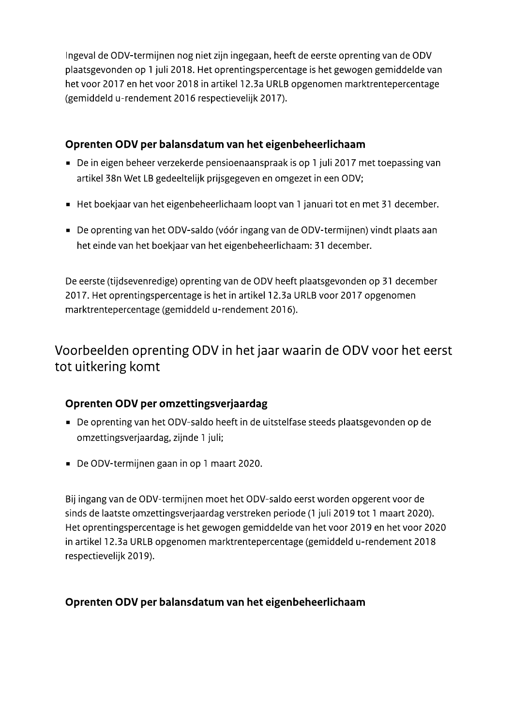Ingeval de ODV-termijnen nog niet zijn ingegaan, heeft de eerste oprenting van de ODV plaatsgevonden op 1 juli 2018. Het oprentingspercentage is het gewogen gemiddelde van het voor 2017 en het voor 2018 in artikel 12.3a URLB opgenomen marktrentepercentage (gemiddeld u-rendement 2016 respectievelijk 2017).

#### Oprenten ODV per balansdatum van het eigenbeheerlichaam

- De in eigen beheer verzekerde pensioenaanspraak is op 1 juli 2017 met toepassing van artikel 38n Wet LB gedeeltelijk prijsgegeven en omgezet in een ODV;
- Het boekjaar van het eigenbeheerlichaam loopt van 1 januari tot en met 31 december.
- De oprenting van het ODV-saldo (vóór ingang van de ODV-termijnen) vindt plaats aan het einde van het boekjaar van het eigenbeheerlichaam: 31 december.

De eerste (tijdsevenredige) oprenting van de ODV heeft plaatsgevonden op 31 december 2017. Het oprentingspercentage is het in artikel 12.3a URLB voor 2017 opgenomen marktrentepercentage (gemiddeld u-rendement 2016).

### Voorbeelden oprenting ODV in het jaar waarin de ODV voor het eerst tot uitkering komt

### Oprenten ODV per omzettingsverjaardag

- De oprenting van het ODV-saldo heeft in de uitstelfase steeds plaatsgevonden op de omzettingsverjaardag, zijnde 1 juli;
- De ODV-termijnen gaan in op 1 maart 2020.

Bij ingang van de ODV-termijnen moet het ODV-saldo eerst worden opgerent voor de sinds de laatste omzettingsverjaardag verstreken periode (1 juli 2019 tot 1 maart 2020). Het oprentingspercentage is het gewogen gemiddelde van het voor 2019 en het voor 2020 in artikel 12.3a URLB opgenomen marktrentepercentage (gemiddeld u-rendement 2018 respectievelijk 2019).

### Oprenten ODV per balansdatum van het eigenbeheerlichaam